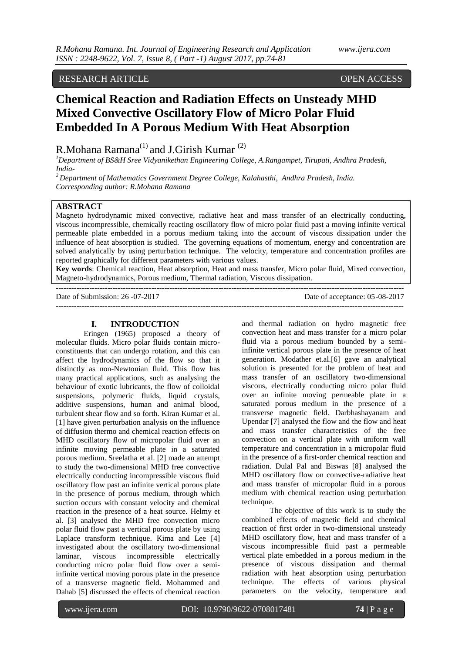## RESEARCH ARTICLE OPEN ACCESS

# **Chemical Reaction and Radiation Effects on Unsteady MHD Mixed Convective Oscillatory Flow of Micro Polar Fluid Embedded In A Porous Medium With Heat Absorption**

## R.Mohana Ramana<sup>(1)</sup> and J.Girish Kumar<sup>(2)</sup>

*<sup>1</sup>Department of BS&H Sree Vidyanikethan Engineering College, A.Rangampet, Tirupati, Andhra Pradesh, India-*

*<sup>2</sup>Department of Mathematics Government Degree College, Kalahasthi, Andhra Pradesh, India. Corresponding author: R.Mohana Ramana*

## **ABSTRACT**

Magneto hydrodynamic mixed convective, radiative heat and mass transfer of an electrically conducting, viscous incompressible, chemically reacting oscillatory flow of micro polar fluid past a moving infinite vertical permeable plate embedded in a porous medium taking into the account of viscous dissipation under the influence of heat absorption is studied. The governing equations of momentum, energy and concentration are solved analytically by using perturbation technique. The velocity, temperature and concentration profiles are reported graphically for different parameters with various values.

**Key words**: Chemical reaction, Heat absorption, Heat and mass transfer, Micro polar fluid, Mixed convection, Magneto-hydrodynamics, Porous medium, Thermal radiation, Viscous dissipation. **---------------------------------------------------------------------------------------------------------------------------------------**

Date of Submission: 26 -07-2017 Date of acceptance: 05-08-2017

**---------------------------------------------------------------------------------------------------------------------------------------**

#### **I. INTRODUCTION**

Eringen (1965) proposed a theory of molecular fluids. Micro polar fluids contain microconstituents that can undergo rotation, and this can affect the hydrodynamics of the flow so that it distinctly as non-Newtonian fluid. This flow has many practical applications, such as analysing the behaviour of exotic lubricants, the flow of colloidal suspensions, polymeric fluids, liquid crystals, additive suspensions, human and animal blood, turbulent shear flow and so forth. Kiran Kumar et al. [1] have given perturbation analysis on the influence of diffusion thermo and chemical reaction effects on MHD oscillatory flow of micropolar fluid over an infinite moving permeable plate in a saturated porous medium. Sreelatha et al. [2] made an attempt to study the two-dimensional MHD free convective electrically conducting incompressible viscous fluid oscillatory flow past an infinite vertical porous plate in the presence of porous medium, through which suction occurs with constant velocity and chemical reaction in the presence of a heat source. Helmy et al. [3] analysed the MHD free convection micro polar fluid flow past a vertical porous plate by using Laplace transform technique. Kima and Lee [4] investigated about the oscillatory two-dimensional laminar, viscous incompressible electrically conducting micro polar fluid flow over a semiinfinite vertical moving porous plate in the presence of a transverse magnetic field. Mohammed and Dahab [5] discussed the effects of chemical reaction

and thermal radiation on hydro magnetic free convection heat and mass transfer for a micro polar fluid via a porous medium bounded by a semiinfinite vertical porous plate in the presence of heat generation. Modather et.al.[6] gave an analytical solution is presented for the problem of heat and mass transfer of an oscillatory two-dimensional viscous, electrically conducting micro polar fluid over an infinite moving permeable plate in a saturated porous medium in the presence of a transverse magnetic field. Darbhashayanam and Upendar [7] analysed the flow and the flow and heat and mass transfer characteristics of the free convection on a vertical plate with uniform wall temperature and concentration in a micropolar fluid in the presence of a first-order chemical reaction and radiation. Dulal Pal and Biswas [8] analysed the MHD oscillatory flow on convective-radiative heat and mass transfer of micropolar fluid in a porous medium with chemical reaction using perturbation technique.

The objective of this work is to study the combined effects of magnetic field and chemical reaction of first order in two-dimensional unsteady MHD oscillatory flow, heat and mass transfer of a viscous incompressible fluid past a permeable vertical plate embedded in a porous medium in the presence of viscous dissipation and thermal radiation with heat absorption using perturbation technique. The effects of various physical parameters on the velocity, temperature and

www.ijera.com DOI: 10.9790/9622-0708017481 **74** | P a g e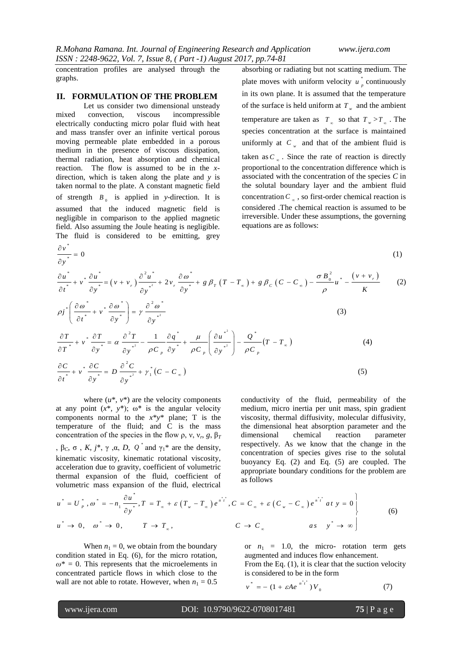concentration profiles are analysed through the graphs.

#### **II. FORMULATION OF THE PROBLEM**

Let us consider two dimensional unsteady mixed convection, viscous incompressible electrically conducting micro polar fluid with heat and mass transfer over an infinite vertical porous moving permeable plate embedded in a porous medium in the presence of viscous dissipation, thermal radiation, heat absorption and chemical reaction. The flow is assumed to be in the *x*direction, which is taken along the plate and *y* is taken normal to the plate. A constant magnetic field of strength  $B_0$  is applied in *y*-direction. It is assumed that the induced magnetic field is negligible in comparison to the applied magnetic field. Also assuming the Joule heating is negligible. The fluid is considered to be emitting, grey

absorbing or radiating but not scatting medium. The plate moves with uniform velocity  $u^*$  $u_p^*$  continuously in its own plane. It is assumed that the temperature of the surface is held uniform at  $T_w$  and the ambient temperature are taken as  $T_{\infty}$  so that  $T_{w} > T_{\infty}$ . The species concentration at the surface is maintained uniformly at  $C_w$  and that of the ambient fluid is taken as  $C_{\infty}$ . Since the rate of reaction is directly proportional to the concentration difference which is associated with the concentration of the species *C* in the solutal boundary layer and the ambient fluid concentration  $C_{\infty}$ , so first-order chemical reaction is considered .The chemical reaction is assumed to be irreversible. Under these assumptions, the governing equations are as follows:

$$
\frac{\partial v^*}{\partial t^*} = 0
$$
\n
$$
\frac{\partial u^*}{\partial t^*} + v^* \frac{\partial u^*}{\partial y^*} = (v + v_r) \frac{\partial^2 u^*}{\partial y^{*^2}} + 2v_r \frac{\partial u^*}{\partial y^*} + g \beta_r (T - T_\infty) + g \beta_c (C - C_\infty) - \frac{\sigma B_0^2}{\rho} u^* - \frac{(v + v_r)}{K} \tag{2}
$$
\n
$$
\rho j^* \left( \frac{\partial u^*}{\partial t^*} + v^* \frac{\partial u^*}{\partial y^*} \right) = \gamma \frac{\partial^2 u^*}{\partial y^{*^2}} \tag{3}
$$
\n
$$
\frac{\partial T}{\partial T^*} + v^* \frac{\partial T}{\partial y^*} = \alpha \frac{\partial^2 T}{\partial y^{*^2}} - \frac{1}{\rho C_p} \frac{\partial q^*}{\partial y^*} + \frac{\mu}{\rho C_p} \left( \frac{\partial u^*}{\partial y^{*^2}} \right) - \frac{Q^*}{\rho C_p} (T - T_\infty)
$$
\n
$$
(4)
$$

$$
\frac{\partial C}{\partial t^*} + v^* \frac{\partial C}{\partial y^*} = D \frac{\partial^2 C}{\partial y^{*^2}} + \gamma_1^* (C - C_\infty)
$$
\n(5)

where  $(u^*, v^*)$  are the velocity components at any point  $(x^*, y^*)$ ;  $\omega^*$  is the angular velocity components normal to the *x*\**y*\* plane; T is the temperature of the fluid; and C is the mass concentration of the species in the flow  $\rho$ ,  $v$ ,  $v_r$ ,  $g$ ,  $\beta_T$ ,  $β<sub>C</sub>$ ,  $σ$ ,  $K$ , *,*  $γ$ *,*  $α$ *,*  $D$ *,*  $Q<sup>*</sup>$  *and*  $γ<sub>1</sub><sup>*</sup>$  *are the density,* kinematic viscosity, kinematic rotational viscosity, acceleration due to gravity, coefficient of volumetric thermal expansion of the fluid, coefficient of

conductivity of the fluid, permeability of the medium, micro inertia per unit mass, spin gradient viscosity, thermal diffusivity, molecular diffusivity, the dimensional heat absorption parameter and the dimensional chemical reaction parameter respectively. As we know that the change in the concentration of species gives rise to the solutal buoyancy Eq. (2) and Eq. (5) are coupled. The appropriate boundary conditions for the problem are as follows

thermal expansion of the fluid, coefficient of  
\nvolumetric mass expansion of the fluid, electrical

\n
$$
u^* = U_p^*, \omega^* = -n_1 \frac{\partial u^*}{\partial y^*}, T = T_{\infty} + \varepsilon (T_w - T_{\infty}) e^{n^*t^*}, C = C_{\infty} + \varepsilon (C_w - C_{\infty}) e^{n^*t^*} \text{ at } y = 0
$$
\n
$$
u^* \to 0, \quad \omega^* \to 0, \qquad T \to T_{\infty}, \qquad C \to C_{\infty} \qquad \text{as } y^* \to \infty
$$
\n(6)

When  $n_1 = 0$ , we obtain from the boundary condition stated in Eq. (6), for the micro rotation,  $\omega^* = 0$ . This represents that the microelements in concentrated particle flows in which close to the wall are not able to rotate. However, when  $n_1 = 0.5$ 

or  $n_1 = 1.0$ , the micro- rotation term gets augmented and induces flow enhancement. From the Eq. (1), it is clear that the suction velocity is considered to be in the form

$$
v^* = - (1 + \varepsilon A e^{-n^* t^*}) V_0 \tag{7}
$$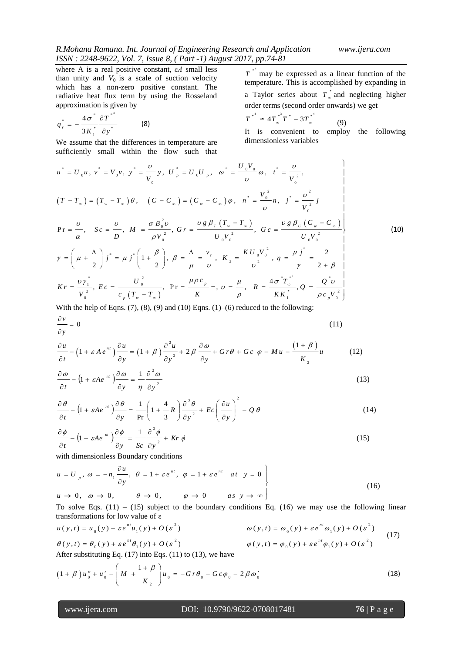where A is a real positive constant, *εA* small less than unity and  $V_0$  is a scale of suction velocity which has a non-zero positive constant. The radiative heat flux term by using the Rosseland approximation is given by

$$
q_{r}^{*} = -\frac{4\sigma^{*}}{3K_{1}^{*}}\frac{\partial T^{*}}{\partial y^{*}}
$$
 (8)

We assume that the differences in temperature are

 $T^*$  may be expressed as a linear function of the temperature. This is accomplished by expanding in a Taylor series about  $T_{\infty}^*$  *T* and neglecting higher order terms (second order onwards) we get

$$
T^{*^{4}} \cong 4T_{\infty}^{*^{3}}T^{*} - 3T_{\infty}^{*^{4}} \tag{9}
$$

It is convenient to employ the following dimensionless variables

We assume that the differences in temperature are  
\nsufficiently small within the flow such that  
\n
$$
u^* = U_0 u
$$
,  $v^* = V_0 v$ ,  $y^* = \frac{v}{V_0} y$ ,  $U_p^* = U_0 U_p$ ,  $\omega^* = \frac{U_0 V_0}{v} \omega$ ,  $t^* = \frac{v}{V_0^2}$ ,  
\n $(T - T_\infty) = (T_\infty - T_\infty) \theta$ ,  $(C - C_\infty) = (C_\infty - C_\infty) \varphi$ ,  $n^* = \frac{V_0^2}{v} \eta$ ,  $j^* = \frac{v^2}{V_0^2} j$   
\n $Pr = \frac{v}{\alpha}$ ,  $Sc = \frac{v}{D}$ ,  $M = \frac{\sigma B_0^2 v}{\rho V_0^2}$ ,  $Gr = \frac{v g \beta_T (T_\infty - T_\infty)}{U_0 V_0^2}$ ,  $Gc = \frac{v g \beta_C (C_\infty - C_\infty)}{U_0 V_0^2}$   
\n $\gamma = \left(\mu + \frac{\Lambda}{2}\right) j^* = \mu j^* \left(1 + \frac{\beta}{2}\right)$ ,  $\beta = \frac{\Lambda}{\mu} = \frac{v}{v}$ ,  $K_2 = \frac{K U_0 V_0^2}{v^2}$ ,  $\eta = \frac{\mu j^*}{\gamma} = \frac{2}{2 + \beta}$   
\n $Kr = \frac{V y_1^*}{V_0^2}$ ,  $Ec = \frac{U_0^2}{c_\rho (T_\infty - T_\infty)}$ ,  $Pr = \frac{\mu \rho c_\rho}{K} =$ ,  $v = \frac{\mu}{\rho}$ ,  $R = \frac{4 \sigma^* T_\infty^{*^*}}{K K_1^*}$ ,  $Q = \frac{Q^* v}{\rho c_\rho V_0^2}$ 

With the help of Eqns.  $(7)$ ,  $(8)$ ,  $(9)$  and  $(10)$  Eqns.  $(1)$ – $(6)$  reduced to the following:

$$
\frac{\partial v}{\partial y} = 0
$$
\n(11)\n
$$
\frac{\partial u}{\partial y} = (1 + \varepsilon A e^{nt}) \frac{\partial u}{\partial x} = (1 + \beta) \frac{\partial^2 u}{\partial x} + 2 \beta \frac{\partial u}{\partial y} + G r \theta + G c \varphi - M u - \frac{(1 + \beta)}{(1 + \beta)} u
$$

$$
\frac{\partial u}{\partial y} = 0
$$
\n(11)\n
$$
\frac{\partial u}{\partial t} - \left(1 + \varepsilon A e^{nt}\right) \frac{\partial u}{\partial y} = \left(1 + \beta\right) \frac{\partial^2 u}{\partial y^2} + 2\beta \frac{\partial \omega}{\partial y} + G r \theta + G c \varphi - M u - \frac{\left(1 + \beta\right)}{K_2} u
$$
\n(12)

$$
\frac{\partial \omega}{\partial t} - \left(1 + \varepsilon A e^{-nt}\right) \frac{\partial \omega}{\partial y} = \frac{1}{\eta} \frac{\partial^2 \omega}{\partial y^2}
$$
(13)

$$
\frac{\partial \theta}{\partial t} - \left(1 + \varepsilon A e^{-nt}\right) \frac{\partial \theta}{\partial y} = \frac{1}{\Pr} \left(1 + \frac{4}{3} R\right) \frac{\partial^2 \theta}{\partial y^2} + E c \left(\frac{\partial u}{\partial y}\right)^2 - Q \theta \tag{14}
$$

$$
\frac{\partial \phi}{\partial t} - \left(1 + \varepsilon A e^{-nt}\right) \frac{\partial \phi}{\partial y} = \frac{1}{Sc} \frac{\partial^2 \phi}{\partial y^2} + Kr \phi \tag{15}
$$

with dimensionless Boundary conditions  
\n
$$
u = U_p, \omega = -n_1 \frac{\partial u}{\partial y}, \theta = 1 + \varepsilon e^{nt}, \varphi = 1 + \varepsilon e^{nt} \text{ at } y = 0
$$
  
\n $u \to 0, \omega \to 0, \qquad \theta \to 0, \qquad \varphi \to 0 \qquad \text{as } y \to \infty$  (16)

To solve Eqs. (11) – (15) subject to the boundary conditions Eq. (16) we may use the following linear transformations for low value of  $\varepsilon$ <br>  $u(y,t) = u_x(y) + \varepsilon e^{nt}u_y(y) + O(\varepsilon^2)$ <br>  $\omega(y,t) = \omega_x(y) + \varepsilon e^{nt} \omega_y(y) + O(\varepsilon^2)$ transformations for low value of ε b solve Eqs. (11) – (15) subject to the boundary conditions Eq. (16) we may use the follow<br>ansformations for low value of  $\varepsilon$ <br>(  $y, t$ ) =  $u_0(y) + \varepsilon e^{nt}u_1(y) + O(\varepsilon^2)$ <br> $\omega(y, t) = \omega_0(y) + \varepsilon e^{nt} \omega_1(y) + O(\varepsilon^2)$ (15) subject to the boundary conditions Eq. (16) we hay<br>
v value of  $\varepsilon$ <br>  $m u_x(y) + O(\varepsilon^2)$ <br>  $\omega(y,t) = \omega_x(y) + \varepsilon e^{nt}$ To solve Eqs. (11) – (15) subject to the boundary conditions Eq. (16) we may use the following linearly transformations for low value of  $\varepsilon$ <br>  $u(y,t) = u_0(y) + \varepsilon e^{nt} u_1(y) + O(\varepsilon^2)$   $\omega(y,t) = \omega_0(y) + \varepsilon e^{nt} \omega_1(y) + O(\varepsilon^2)$  (1

transformations for low value of 
$$
\varepsilon
$$
  
\n
$$
u(y,t) = u_0(y) + \varepsilon e^{nt} u_1(y) + O(\varepsilon^2)
$$
\n
$$
\theta(y,t) = \theta_0(y) + \varepsilon e^{nt} \theta_1(y) + O(\varepsilon^2)
$$
\n
$$
\theta(y,t) = \theta_0(y) + \varepsilon e^{nt} \theta_1(y) + O(\varepsilon^2)
$$
\n
$$
\phi(y,t) = \varphi_0(y) + \varepsilon e^{nt} \varphi_1(y) + O(\varepsilon^2)
$$
\nAfter substituting Eq. (17) into Eqs. (11) to (12) we have

After substituting Eq. (17) into Eqs. (11) to (13), we have  
\n
$$
(1 + \beta) u''_0 + u'_0 - \left( M + \frac{1 + \beta}{K_2} \right) u_0 = -G r \theta_0 - G c \varphi_0 - 2 \beta \omega'_0
$$
\n(18)

## www.ijera.com DOI: 10.9790/9622-0708017481 **76** | P a g e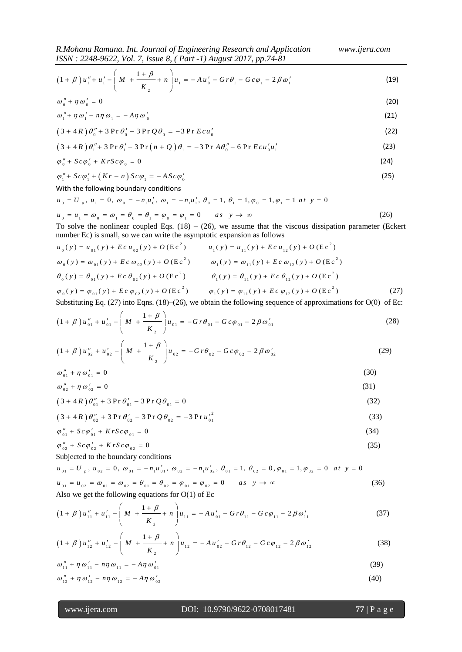$$
\frac{ISSN: 2248-9622, Vol. 7, Issue 8, (Part-1) August 2017, pp.74-81}{(1+\beta)u_1'' + u_1' - \left(M + \frac{1+\beta}{K_2} + n\right)u_1 = -Au_0' - Gr\theta_1 - Gc\varphi_1 - 2\beta\omega_1'}
$$
(19)

$$
\omega''_0 + \eta \omega'_0 = 0 \tag{20}
$$

$$
\omega_1'' + \eta \omega_1' - n\eta \omega_1 = -A\eta \omega_0' \tag{21}
$$

$$
\omega_{1} + \eta \omega_{1} - n\eta \omega_{1} = -A\eta \omega_{0}
$$
\n
$$
(21)
$$
\n
$$
(3 + 4R) \theta_{0}'' + 3 \Pr \theta_{0}' - 3 \Pr \mathcal{Q} \theta_{0} = -3 \Pr Ecu_{0}'
$$
\n
$$
(3 + 4R) \theta_{1}'' + 3 \Pr \theta_{1}' - 3 \Pr (n + Q) \theta_{1} = -3 \Pr A\theta_{0}'' - 6 \Pr Ecu_{0}'u_{1}'
$$
\n
$$
(23)
$$

$$
(3+4R)\theta_1'' + 3\Pr\theta_1' - 3\Pr(n+Q)\theta_1 = -3\Pr A\theta_0'' - 6\Pr Ecu_0'u_1'
$$
 (23)

$$
\varphi_0'' + Sc\varphi_0' + KrSc\varphi_0 = 0
$$
\n(24)

$$
\varphi_1'' + Sc\varphi_1' + (Kr - n)Sc\varphi_1 = -ASc\varphi_0'
$$
\n(25)

With the following boundary conditions

 $\varphi_1'' + Sc\varphi_1' + (Kr - n) Sc\varphi_1 = -ASc\varphi_0'$ <br>
With the following boundary conditions<br>  $u_0 = U_p$ ,  $u_1 = 0$ ,  $\omega_0 = -n_1u_0'$ ,  $\omega_1 = -n_1u_1'$ ,  $\theta_0 = 1$ ,  $\theta_1 = 1$ ,  $\varphi_0 = 1$ ,  $\varphi_1 = 1$  at  $y = 0$  $u_0 = U_p$ ,  $u_1 = 0$ ,  $\omega_0 = -n_1 u'_0$ ,  $\omega_1 = -n_1 u'_1$ ,  $\theta_0 = 1$ ,  $\theta_1 = 1$ ,  $\varphi_0 = 1$ ,  $\varphi_1 = 1$  at  $y = 0$ <br>  $u_0 = u_1 = \omega_0 = \omega_1 = \theta_0 = \theta_1 = \varphi_0 = \varphi_1 = 0$  as  $y \to \infty$  (26)

$$
\sigma_0 = u_1 = \omega_0 = \omega_1 = \omega_0 = \omega_1 = \omega_0 = \varphi_1 = 0 \qquad \text{as} \quad y \to \infty
$$
 (20)

To solve the nonlinear coupled Eqs. (18) – (26), we assume that the viscous dissipation parameter (Eckert number Ec) is small, so we can write the asymptotic expansion as follows  $u_0(y) = u_{01}(y) + E c u_{02}(y) + O(Ec^2)$   $u_1(y) = u_{$ 

number Ec) is small, so we can write the asymptotic expansion as follows  
\n
$$
u_0(y) = u_{01}(y) + E c u_{02}(y) + O (E c^2)
$$
  
\n $\omega_0(y) = \omega_{01}(y) + E c \omega_{02}(y) + O (E c^2)$   
\n $\omega_0(y) = \omega_{01}(y) + E c \omega_{02}(y) + O (E c^2)$   
\n $\omega_1(y) = \omega_{11}(y) + E c \omega_{12}(y) + O (E c^2)$   
\n $\theta_0(y) = \theta_{01}(y) + E c \theta_{02}(y) + O (E c^2)$   
\n $\theta_1(y) = \theta_{11}(y) + E c \theta_{12}(y) + O (E c^2)$   
\n $\phi_0(y) = \phi_{01}(y) + E c \phi_{02}(y) + O (E c^2)$   
\n $\phi_1(y) = \phi_{11}(y) + E c \phi_{12}(y) + O (E c^2)$  (27)

Substituting Eq. (27) into Eqs. (18)–(26), we obtain the following sequence of approximations for O(0) of Ec:  
\n
$$
(1 + \beta) u_{01}'' + u_{01}' - \left( M + \frac{1 + \beta}{K_2} \right) u_{01} = -G r \theta_{01} - G c \varphi_{01} - 2 \beta \omega_{01}'
$$
\n(28)

$$
(1+\beta)u''_{02} + u'_{02} - \left(M + \frac{1+\beta}{K_2}\right)u_{02} = -Gr\theta_{02} - Gc\varphi_{02} - 2\beta\omega'_{02}
$$
 (29)

$$
\omega_{01}'' + \eta \omega_{01}' = 0 \tag{30}
$$

$$
\omega_{02}'' + \eta \omega_{02}' = 0 \tag{31}
$$

$$
(3 + 4R)\theta''_{01} + 3 \Pr \theta'_{01} - 3 \Pr \mathcal{Q} \theta_{01} = 0
$$
\n(32)

$$
(3+4R)\theta_{01}^{''} + 3\Pr \theta_{01}^{'} - 3\Pr \mathcal{Q}\theta_{01}^{'} = 0
$$
\n
$$
(3+4R)\theta_{02}^{''} + 3\Pr \theta_{02}^{'} - 3\Pr \mathcal{Q}\theta_{02}^{'} = -3\Pr u_{01}^{'}{}^{2}
$$
\n
$$
(33)
$$

$$
\varphi_{01}'' + Sc\varphi_{01}' + KrSc\varphi_{01} = 0 \tag{34}
$$

$$
\varphi_{02}'' + Sc\varphi_{02}' + KrSc\varphi_{02} = 0 \tag{35}
$$

Subjected to the boundary conditions

$$
\varphi_{02}'' + Sc\varphi_{02}' + KrSc\varphi_{02} = 0
$$
\n(35)  
\nSubjected to the boundary conditions  
\n
$$
u_{01} = U_p, u_{02} = 0, \omega_{01} = -n_1u'_{01}, \omega_{02} = -n_1u'_{02}, \theta_{01} = 1, \theta_{02} = 0, \varphi_{01} = 1, \varphi_{02} = 0 \quad at \quad y = 0
$$
\n
$$
u_{01} = u_{02} = \omega_{01} = \omega_{02} = \theta_{01} = \theta_{02} = \varphi_{01} = \varphi_{02} = 0 \quad as \quad y \to \infty
$$
\n(36)

$$
u_{01} = u_{02} = \omega_{01} = \omega_{02} = \theta_{01} = \theta_{02} = \psi_{01} = \theta_{02} = 0 \qquad \text{as } y \to \infty
$$
\n(30)

\nAlso we get the following equations for O(1) of Ec

\n
$$
(1 + \beta) u_{11}'' + u_{11}' - \left(M + \frac{1 + \beta}{K_2} + n\right) u_{11} = -Au_{01}' - Gr\theta_{11} - Gc\varphi_{11} - 2\beta\omega_{11}' \qquad (37)
$$
\n
$$
(1 + \beta) u_{11}'' + u_{11}' - \left(M + \frac{1 + \beta}{K_2} + n\right) u_{11} = -Au_{01}' - Gr\theta - Gc\varphi - 2\beta\varphi' \qquad (38)
$$

$$
(1+\beta)u''_{12} + u'_{12} - \left(M + \frac{1+\beta}{K_2} + n\right)u_{12} = -Au'_{02} - Gr\theta_{12} - Gc\varphi_{12} - 2\beta\omega'_{12}
$$
(38)

$$
\omega_{11}'' + \eta \omega_{11}' - n\eta \omega_{11} = -A\eta \omega_{01}' \tag{39}
$$

$$
\omega_{12}'' + \eta \omega_{12}' - n\eta \omega_{12} = -A\eta \omega_{02}' \tag{40}
$$

## www.ijera.com DOI: 10.9790/9622-0708017481 **77** | P a g e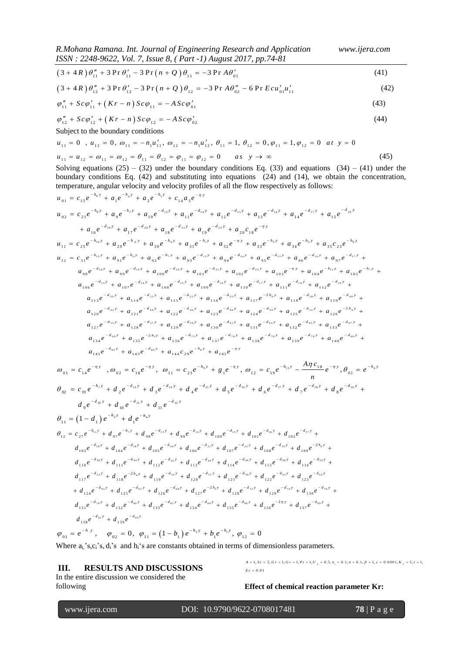*R.Mohana Ramana. Int. Journal of Engineering Research and Application www.ijera.com ISSN : 2248-9622, Vol. 7, Issue 8, ( Part -1) August 2017, pp.74-81*

$$
(41)
$$
  

$$
(3 + 4R) \theta_{11}'' + 3 \Pr \theta_{11}' - 3 \Pr (n + Q) \theta_{11} = -3 \Pr A \theta_{01}'
$$
  

$$
(41)
$$
  

$$
(42)
$$
  

$$
(43)
$$
  

$$
(44)
$$
  

$$
(42)
$$

$$
(3 + 4R)\theta_{12}'' + 3\Pr\theta_{12}' - 3\Pr(n + Q)\theta_{12} = -3\Pr A\theta_{02}'' - 6\Pr Ecu_{01}'u_{11}'
$$
\n(42)

$$
\varphi_{11}'' + Sc\varphi_{11}' + (Kr - n)Sc\varphi_{11} = -ASc\varphi_{01}'
$$
\n(43)

$$
\varphi_{11}'' + Sc\varphi_{12} + (Kr - n)Sc\varphi_{12} = -ASc\varphi_{02}'
$$
\n(44)

Subject to the boundary conditions

$$
\varphi_{12}'' + Sc\varphi_{12}' + (Kr - n) Sc\varphi_{12} = -ASc\varphi_{02}'
$$
\n(44)  
\nSubject to the boundary conditions  
\n
$$
u_{11} = 0, u_{12} = 0, \omega_{11} = -n_1u_{11}', \omega_{12} = -n_1u_{12}', \theta_{11} = 1, \theta_{12} = 0, \varphi_{11} = 1, \varphi_{12} = 0 \text{ at } y = 0
$$
\n
$$
u_{11} = u_{12} = \omega_{11} = \omega_{12} = \theta_{11} = \theta_{12} = \varphi_{11} = \varphi_{12} = 0 \text{ as } y \to \infty
$$
\n(45)

Solving equations  $(25) - (32)$  under the boundary conditions Eq. (33) and equations  $(34) - (41)$  under the boundary conditions Eq. (42) and substituting into equations (24) and (14), we obtain the concentration,

www.ijera.com DOI: 10.9790/9622-0708017481 **78** | P a g e 11 11 11 01 3 4 3 P r 3 P r 3 P r *R n Q A* (41) temperature, angular velocity and velocity profiles of all the flow respectively as follows: *h y h y h y <sup>y</sup> u c e a e a e c a e u c e a e a e a e a e a e a e a e* <sup>6</sup> 4 1 0 1 1 5 1 2 1 4 3 8 7 1 3 1 5 1 6 1 7 1 8 1 4 1 9 2 0 2 1 2 2 0 2 2 1 9 1 0 1 1 1 2 1 3 1 4 1 5 1 6 1 7 1 8 1 9 2 0 1 8 *h y h y d y d y d y d y d y d y d y d y d y d y <sup>y</sup> a e a e a e a e a c e* 1 0 6 5 9 4 1 2 1 1 2 5 2 9 3 0 3 1 3 2 3 3 3 4 3 5 2 3 *h y h y h y h y h y h y h y <sup>y</sup> u c e a e a e a e a e a e a e a c e* 1 2 1 4 6 7 1 3 1 5 1 6 1 7 1 8 1 9 2 0 7 2 1 2 2 1 1 1 3 1 5 1 4 1 2 3 1 9 1 9 2 9 3 9 4 9 5 9 6 9 7 9 8 9 9 1 0 0 1 0 1 1 0 2 1 0 3 1 0 4 1 0 5 1 0 6 1 0 7 1 0 8 1 *h y d y h y h y d y d y d y d y d y d y d y h y d y d y h y <sup>y</sup> d y d y d y u c e a e a e a e a e a e a e a e a e a e a e a e a e a e a e a e a e a e a e a* 1 6 1 7 1 8 1 9 2 0 3 5 6 3 8 4 0 2 1 2 2 4 2 4 4 4 4 6 4 8 5 0 5 2 0 9 1 1 0 1 1 1 1 1 2 2 1 1 3 1 1 4 1 1 5 1 1 6 1 1 7 1 1 8 1 1 9 2 1 2 0 1 2 1 1 2 2 1 2 3 1 2 4 1 2 5 1 2 6 127 *d y d y d y d y d y d y h y d y d y d y d y d y d y h y d y d y d y d y e a e a e a e a e a e a e a e a e a e a e a e a e a e a e a e a e a e a* 5 5 5 7 5 9 6 1 6 3 6 5 6 7 6 9 7 2 7 4 7 6 7 8 8 0 <sup>1</sup> 8 2 8 6 8 1 2 8 1 2 9 1 3 0 1 3 1 1 3 2 1 3 3 2 1 3 4 1 3 5 1 3 6 1 3 7 1 3 8 1 3 9 1 4 0 1 4 1 1 4 3 1 4 4 2 9 1 4 5 *d y d y d y d y d y d y d y d y d y d y d y d y d y h y d y d y h y <sup>y</sup> e a e a e a e a e a e a e a e a e a e a e a e a e a e a e a e a c e a e* 0 1 1 4 0 2 1 8 1 1 2 3 1 1 2 1 9 0 1 , , , , *y y y y h y h y A c h y c e c e c e g e c e e e* 

$$
a_{141}e^{-d_{82}y} + a_{143}e^{-d_{86}y} + a_{144}c_{29}e^{-h_{8}y} + a_{145}e^{-\eta y}
$$
\n
$$
\omega_{01} = c_{14}e^{-\eta y}, \quad \omega_{02} = c_{18}e^{-\eta y}, \quad \omega_{11} = c_{23}e^{-h_{9}y} + g_{1}e^{-\eta y}, \quad \omega_{12} = c_{19}e^{-h_{13}y} - \frac{A\eta c_{18}}{n}e^{-\eta y}, \quad \theta_{01} = e^{-h_{4}y}
$$
\n
$$
\theta_{02} = c_{19}e^{-h_{7}y} + d_{2}e^{-d_{13}y} + d_{3}e^{-d_{14}y} + d_{4}e^{-d_{15}y} + d_{5}e^{-d_{16}y} + d_{6}e^{-d_{17}y} + d_{7}e^{-d_{18}y} + d_{8}e^{-d_{19}y} + d_{9}e^{-d_{19}y} + d_{10}e^{-d_{19}y} + d_{11}e^{-d_{21}y}
$$
\n
$$
\theta_{11} = (1 - d_{1})e^{-h_{5}y} + d_{10}e^{-h_{4}y}
$$
\n
$$
\theta_{12} = c_{27}e^{-h_{11}y} + d_{97}e^{-h_{7}y} + d_{98}e^{-d_{13}y} + d_{99}e^{-d_{14}y} + d_{100}e^{-d_{15}y} + d_{101}e^{-d_{16}y} + d_{102}e^{-d_{17}y} + d_{102}e^{-h_{17}y} + d_{103}e^{-h_{17}y} + d_{104}e^{-h_{18}y} + d_{104}e^{-h_{18}y} + d_{104}e^{-h_{18}y} + d_{104}e^{-h_{18}y} + d_{104}e^{-h_{18}y} + d_{104}e^{-h_{18}y} + d_{106}e^{-h_{18}y} + d_{102}e^{-h_{18}y} + d_{102}e^{-h_{18}y} + d_{110}e^{-h_{18}y} + d_{111}e^{-h_{18}y} + d_{111}e^{-h_{1
$$

$$
d_{131}e^{-d_{78}y} + d_{132}e^{-d_{89}y} + d_{133}e^{-d_{82}y} + d_{134}e^{-d_{84}y} + d_{135}e^{-d_{86}y} + d_{136}e^{-2\eta y} + d_{137}e^{-d_{89}y} + d_{138}e^{-d_{89}y} + d_{139}e^{-d_{89}y} + d_{139}e^{-d_{89}y}
$$
  
\n
$$
\varphi_{01} = e^{-h y}, \quad \varphi_{02} = 0, \quad \varphi_{11} = (1 - b_1) e^{-h_2y} + b_1 e^{-h_1y}, \quad \varphi_{12} = 0
$$

 $(1-b_1) e^{-h_2 y} + b_1 e^{-h_1}$ Where  $a_i$ 's,  $c_i$ 's,  $d_i$ 's and  $h_i$ 's are constants obtained in terms of dimensionless parameters. 1 2 1, 2 , 1, 1, P r 1, 0 .5, 0 .1, 0 .1, 1, 0 .0 0 0 1, K 5, 1, *p A* = 1, *Sc* = 2, *G* r = 1, *Gc* = 1, Pr = 1, *U<sub>p</sub>* = 0.5, *n<sub>1</sub>* = 0.1, *n* = 0.1,  $\beta$  = 1, *c* = 0.0001, **K**<sub>2</sub> = 5, *t* **COMPRESSIONLESS PARAMETERS.**<br>= 1, Sc = 2, G r = 1, G c = 1, P r = 1, U  $_p$  = 0.5, n<sub>1</sub> = 0.1, n = 0.1,  $\beta$  = 1, c = 0.0001, K <sub>2</sub> = 5, t = 1,

## **III. RESULTS AND DISCUSSIONS**

In the entire discussion we considered the following

**Effect of chemical reaction parameter Kr:**

 $, Sc = 0.01$ 

*E c*

 $E_c = 0.01$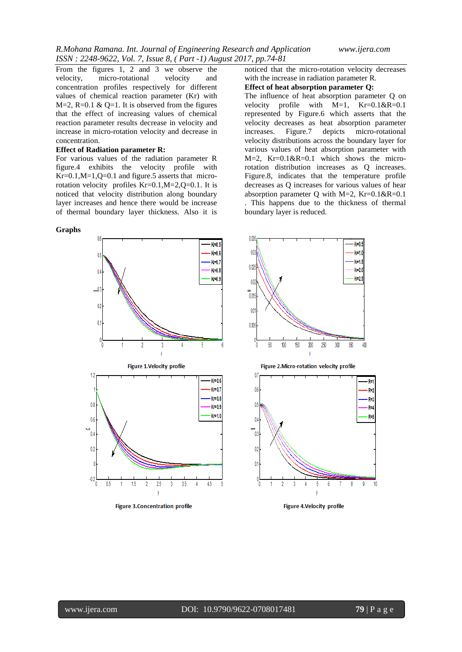From the figures 1, 2 and 3 we observe the velocity, micro-rotational velocity and concentration profiles respectively for different values of chemical reaction parameter (Kr) with  $M=2$ , R=0.1 & Q=1. It is observed from the figures that the effect of increasing values of chemical reaction parameter results decrease in velocity and increase in micro-rotation velocity and decrease in concentration.

#### **Effect of Radiation parameter R:**

For various values of the radiation parameter R figure.4 exhibits the velocity profile with  $Kr=0.1, M=1, Q=0.1$  and figure.5 asserts that microrotation velocity profiles Kr=0.1,M=2,Q=0.1. It is noticed that velocity distribution along boundary layer increases and hence there would be increase of thermal boundary layer thickness. Also it is

#### **Graphs**

Kraft ( Kralj 0 K-0<sup>1</sup>  $K=0.8$ 0  $K-0.9$  $\overline{\mathbb{I}}$  $02$  $\mathbf{0}$  $\int_{0}^{0}$ 5 **Figure 1. Velocity profile**  $12$ Kr 06 Kr-07 Kr-08  $0.8$ Kr=0.9  $K = 10$  $0\ell$ Ċ  $\mathbf{0}$ -02 0  $-0.2$ 25 35 45 -05 15 3

**Figure 3. Concentration profile** 

noticed that the micro-rotation velocity decreases with the increase in radiation parameter R.

#### **Effect of heat absorption parameter Q:**

The influence of heat absorption parameter Q on velocity profile with M=1, Kr=0.1&R=0.1 represented by Figure.6 which asserts that the velocity decreases as heat absorption parameter increases. Figure.7 depicts micro-rotational velocity distributions across the boundary layer for various values of heat absorption parameter with  $M=2$ ,  $Kr=0.1 \& R=0.1$  which shows the microrotation distribution increases as Q increases. Figure.8, indicates that the temperature profile decreases as Q increases for various values of hear absorption parameter Q with  $M=2$ ,  $Kr=0.1&R=0.1$ 

. This happens due to the thickness of thermal boundary layer is reduced.



**Figure 4. Velocity profile**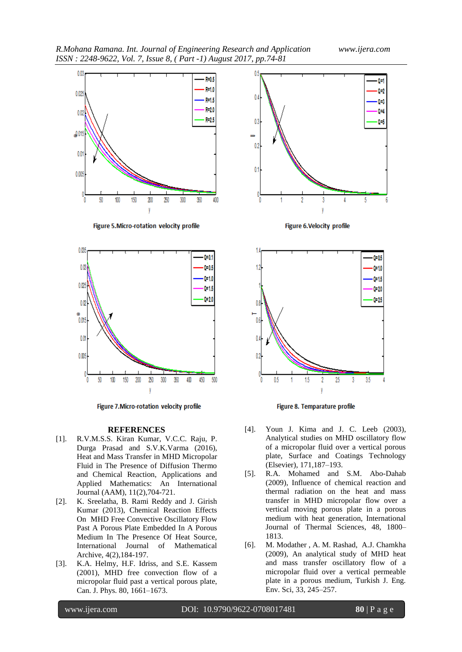*R.Mohana Ramana. Int. Journal of Engineering Research and Application www.ijera.com ISSN : 2248-9622, Vol. 7, Issue 8, ( Part -1) August 2017, pp.74-81*



Figure 5. Micro-rotation velocity profile



Figure 7. Micro-rotation velocity profile

#### **REFERENCES**

- [1]. R.V.M.S.S. Kiran Kumar, V.C.C. Raju, P. Durga Prasad and S.V.K.Varma (2016), Heat and Mass Transfer in MHD Micropolar Fluid in The Presence of Diffusion Thermo and Chemical Reaction, Applications and Applied Mathematics: An International Journal (AAM), 11(2),704-721.
- [2]. K. Sreelatha, B. Rami Reddy and J. Girish Kumar (2013), Chemical Reaction Effects On MHD Free Convective Oscillatory Flow Past A Porous Plate Embedded In A Porous Medium In The Presence Of Heat Source, International Journal of Mathematical Archive, 4(2),184-197.
- [3]. K.A. Helmy, H.F. Idriss, and S.E. Kassem (2001), MHD free convection flow of a micropolar fluid past a vertical porous plate, Can. J. Phys. 80, 1661–1673.





Figure 8. Temparature profile

- [4]. Youn J. Kima and J. C. Leeb (2003), Analytical studies on MHD oscillatory flow of a micropolar fluid over a vertical porous plate, Surface and Coatings Technology (Elsevier), 171,187–193.
- [5]. R.A. Mohamed and S.M. Abo-Dahab (2009), Influence of chemical reaction and thermal radiation on the heat and mass transfer in MHD micropolar flow over a vertical moving porous plate in a porous medium with heat generation, International Journal of Thermal Sciences, 48, 1800– 1813.
- [6]. M. Modather , A. M. Rashad, A.J. Chamkha (2009), An analytical study of MHD heat and mass transfer oscillatory flow of a micropolar fluid over a vertical permeable plate in a porous medium, Turkish J. Eng. Env. Sci, 33, 245–257.